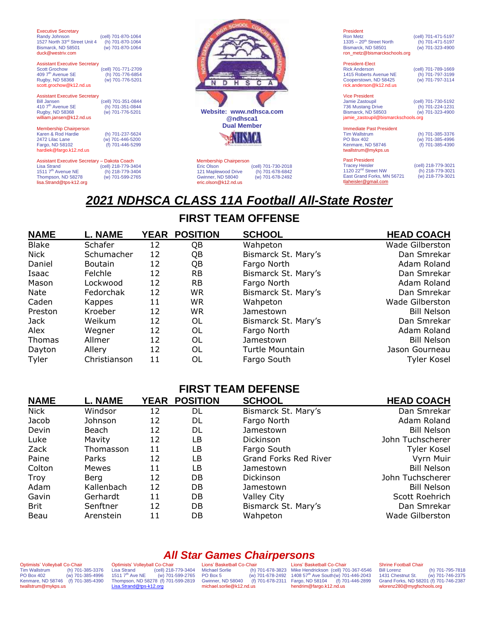| <b>Executive Secretary</b><br>Randy Johnson<br>1527 North 33rd Street Unit 4<br>Bismarck, ND 58501<br>duck@westriv.com<br><b>Assistant Executive Secretary</b><br><b>Scott Grochow</b><br>409 7 <sup>th</sup> Avenue SE<br>Rugby, ND 58368 | (cell) 701-870-1064<br>(h) 701-870-1064<br>(w) 701-870-1064<br>(cell) 701-771-2709<br>(h) 701-776-6854<br>(w) 701-776-5201 |                                                                                                                 |                                                             |
|--------------------------------------------------------------------------------------------------------------------------------------------------------------------------------------------------------------------------------------------|----------------------------------------------------------------------------------------------------------------------------|-----------------------------------------------------------------------------------------------------------------|-------------------------------------------------------------|
| scott.grochow@k12.nd.us<br><b>Assistant Executive Secretary</b><br><b>Bill Jansen</b><br>410 7 <sup>th</sup> Avenue SE<br>Rugby, ND 58368                                                                                                  | (cell) 701-351-0844<br>(h) 701-351-0844<br>(w) 701-776-5201                                                                | Website: www.ndhsca.com                                                                                         |                                                             |
| william.jansen@k12.nd.us<br><b>Membership Chairperson</b><br>Karen & Rod Hardie<br>2472 Lilac Lane<br>Fargo, ND 58102<br>hardiek@fargo.k12.nd.us                                                                                           | (h) 701-237-5624<br>(w) 701-446-5200<br>(f) 701-446-5299                                                                   | @ndhsca1<br><b>Dual Member</b>                                                                                  |                                                             |
| Assistant Executive Secretary - Dakota Coach<br><b>Lisa Strand</b><br>1511 7 <sup>th</sup> Avenue NE<br>Thompson, ND 58278<br>lisa.Strand@tps-k12.org                                                                                      | (cell) 218-779-3404<br>(h) 218-779-3404<br>(w) 701-599-2765                                                                | <b>Membership Chairperson</b><br>Eric Olson<br>121 Maplewood Drive<br>Gwinner, ND 58040<br>eric.olson@k12.nd.us | (cell) 701-730-2018<br>(h) 701-678-6842<br>(w) 701-678-2492 |

| President                              |                     |
|----------------------------------------|---------------------|
| <b>Ron Metz</b>                        | (cell) 701-471-5197 |
| $1335 - 20$ <sup>th</sup> Street North | (h) 701-471-5197    |
| Bismarck, ND 58501                     | (w) 701-323-4900    |
| ron metz@bismarckschools.org           |                     |
| <b>President-Elect</b>                 |                     |
| <b>Rick Anderson</b>                   | (cell) 701-789-1669 |
| 1415 Roberts Avenue NE                 | (h) 701-797-3199    |
| Cooperstown, ND 58425                  | (w) 701-797-3114    |
| rick.anderson@k12.nd.us                |                     |

Vice President<br>Jamie Zastoupil (cell) 701-730-5192<br>
(h) 701-224-1231<br>
(w) 701-323-4900 736 Mustang Drive (h) 701-224-1231 Bismarck, ND 58503 (w) 701-323-4900 [jamie\\_zastoupil@bismarckschools.org](mailto:jamie_zastoupil@bismarckschools.org)

Immediate Past President<br>Tim Wallstrum<br>PO Box 402 Tim Wallstrum (h) 701-385-3376 PO Box 402 (w) 701-385-4996 Kenmare, ND 58746 (f) 701-385-4390 twallstrum@mykps.us

Past President cell) 218-779-3021)<br>1120 22<sup>nd</sup> Street NW (h) 218-779-3021<br>East Grand Forks, MN 56721 (w) 218-779-3021 tlaheisler@gmail.com

# *2021 NDHSCA CLASS 11A Football All-State Roster*

## **FIRST TEAM OFFENSE**

| <b>NAME</b>  | <b>L. NAME</b> | YEAR | <b>POSITION</b> | <b>SCHOOL</b>       | <b>HEAD COACH</b>  |
|--------------|----------------|------|-----------------|---------------------|--------------------|
| <b>Blake</b> | Schafer        | 12   | QB              | Wahpeton            | Wade Gilberston    |
| <b>Nick</b>  | Schumacher     | 12   | QB              | Bismarck St. Mary's | Dan Smrekar        |
| Daniel       | <b>Boutain</b> | 12   | QB              | Fargo North         | Adam Roland        |
| Isaac        | Felchle        | 12   | <b>RB</b>       | Bismarck St. Mary's | Dan Smrekar        |
| Mason        | Lockwood       | 12   | <b>RB</b>       | Fargo North         | Adam Roland        |
| Nate         | Fedorchak      | 12   | <b>WR</b>       | Bismarck St. Mary's | Dan Smrekar        |
| Caden        | Kappes         | 11   | WR              | Wahpeton            | Wade Gilberston    |
| Preston      | Kroeber        | 12   | <b>WR</b>       | Jamestown           | <b>Bill Nelson</b> |
| <b>Jack</b>  | Weikum         | 12   | 0L              | Bismarck St. Mary's | Dan Smrekar        |
| Alex         | Wegner         | 12   | OL              | Fargo North         | Adam Roland        |
| Thomas       | Allmer         | 12   | 0L              | Jamestown           | <b>Bill Nelson</b> |
| Dayton       | Allery         | 12   | 0L              | Turtle Mountain     | Jason Gourneau     |
| Tyler        | Christianson   | 11   | OL              | Fargo South         | Tyler Kosel        |

### **FIRST TEAM DEFENSE**

| <b>NAME</b> | <b>L. NAME</b> | <b>YEAR</b> | <b>POSITION</b> | <b>SCHOOL</b>         | <b>HEAD COACH</b>  |
|-------------|----------------|-------------|-----------------|-----------------------|--------------------|
| <b>Nick</b> | Windsor        | 12          | DL              | Bismarck St. Mary's   | Dan Smrekar        |
| Jacob       | Johnson        | 12          | DL              | Fargo North           | Adam Roland        |
| Devin       | Beach          | 12          | DL              | Jamestown             | <b>Bill Nelson</b> |
| Luke        | Mavity         | 12          | LB              | Dickinson             | John Tuchscherer   |
| Zack        | Thomasson      | 11          | LB              | Fargo South           | Tyler Kosel        |
| Paine       | Parks          | 12          | LB              | Grand Forks Red River | Vyrn Muir          |
| Colton      | <b>Mewes</b>   | 11          | LB              | Jamestown             | <b>Bill Nelson</b> |
| Troy        | Berg           | 12          | DB              | Dickinson             | John Tuchscherer   |
| Adam        | Kallenbach     | 12          | DB              | Jamestown             | <b>Bill Nelson</b> |
| Gavin       | Gerhardt       | 11          | DB              | <b>Valley City</b>    | Scott Roehrich     |
| <b>Brit</b> | Senftner       | 12          | DB              | Bismarck St. Mary's   | Dan Smrekar        |
| Beau        | Arenstein      | 11          | DB              | Wahpeton              | Wade Gilberston    |

#### Optimists' Volleyball Co-Chair Tim Wallstrum (h) 701-385-3376 PO Box 402 (w) 701-385-4996 Kenmare, ND 58746 (f) 701-385-4390 twallstrum@mykps.us

Optimists' Volleyball Co-Chair Lisa Strand (cell) 218-779-3404 1511 7th Ave NE (w) 701-599-2765 Thompson, ND 58278 (f) 701-599-2819 [Lisa.Strand@tps-k12.org](mailto:Lisa.Strand@tps-k12.org)

*All Star Games Chairpersons* Lions' Basketball Co-Chair<br>Michael Sorlie (h)<br>PO Box 5 (w) Gwinner, ND 58040 michael.sorlie@k12.nd.us

Michael Sorlie (h) 701-678-3823 PO Box 5 (w) 701-678-2492 Mike Hendrickson (cell) 701-367-6546 1408 57th Ave South(w) 701-446-2043 Fargo, ND 58104 (f) 701-446-2899 Lions' Basketball Co-Chair hendrim@fargo.k12.nd.us

## Shrine Football Chair<br>Bill Lorenz

Bill Lorenz (h) 701-795-7818<br>1431 Chestnut St. (w) 701-746-2375 1431 Chestnut St. (w) 701-746-2375 Grand Forks, ND 58201 (f) 701-746-2387 wlorenz280@mygfschools.org